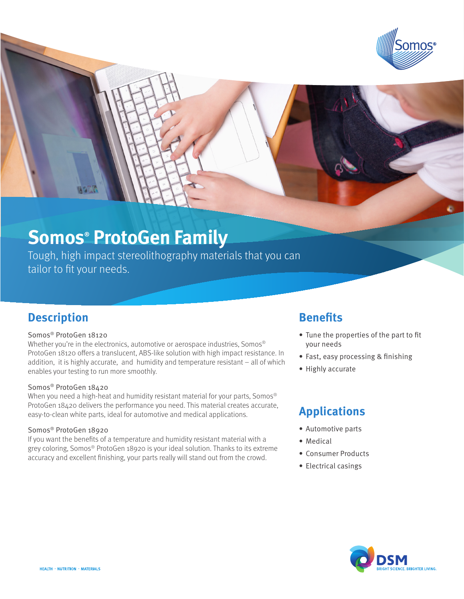

# **Somos® ProtoGen Family**

Tough, high impact stereolithography materials that you can tailor to fit your needs.

### **Description**

#### Somos® ProtoGen 18120

Whether you're in the electronics, automotive or aerospace industries, Somos® ProtoGen 18120 offers a translucent, ABS-like solution with high impact resistance. In addition, it is highly accurate, and humidity and temperature resistant – all of which enables your testing to run more smoothly.

#### Somos® ProtoGen 18420

When you need a high-heat and humidity resistant material for your parts, Somos<sup>®</sup> ProtoGen 18420 delivers the performance you need. This material creates accurate, easy-to-clean white parts, ideal for automotive and medical applications.

#### Somos® ProtoGen 18920

If you want the benefits of a temperature and humidity resistant material with a grey coloring, Somos® ProtoGen 18920 is your ideal solution. Thanks to its extreme accuracy and excellent finishing, your parts really will stand out from the crowd.

### **Benefits**

- Tune the properties of the part to fit your needs
- Fast, easy processing & finishing
- Highly accurate

### **Applications**

- Automotive parts
- Medical
- Consumer Products
- • Electrical casings